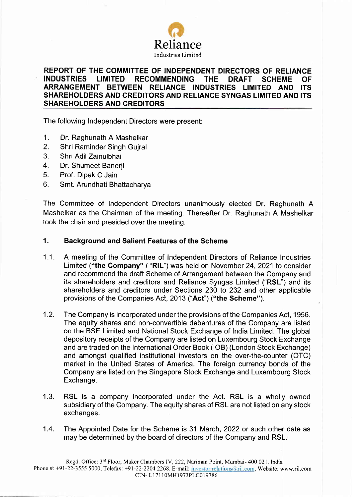

# REPORT OF THE COMMITTEE OF INDEPENDENT DIRECTORS OF RELIANCE<br>INDUSTRIES LIMITED RECOMMENDING THE DRAFT SCHEME OF RECOMMENDING THE DRAFT SCHEME OF<br>EN RELIANCE INDUSTRIES LIMITED AND ITS ARRANGEMENT BETWEEN RELIANCE INDUSTRIES LIMITED AND SHAREHOLDERS AND CREDITORS AND RELIANCE SYNGAS LIMITED AND ITS SHAREHOLDERS AND CREDITORS

The following Independent Directors were present:

- 1. Dr. Raghunath A Mashelkar
- 2. Shri Raminder Singh Gujral
- 3. Shri Adil Zainulbhai
- 4. Dr. Shumeet Banerii
- 5. Prof. Dipak C Jain
- 6. Smt. Arundhati Bhattacharya

The Committee of Independent Directors unanimously elected Dr. Raghunath A Mashelkar as the Chairman of the meeting. Thereafter Dr. Raghunath A Mashelkar took the chair and presided over the meeting.

#### Background and Salient Features of the Scheme 1.

- A meeting of the Committee of Independent Directors of Reliance Industries Limited ("the Company" / "RIL") was held on November 24, 2021 to consider and recommend the draft Scheme of Arrangement between the Company and its shareholders and creditors and Reliance Syngas Limited ("RSL") and its shareholders and creditors under Sections 230 to 232 and other applicable provisions of the Companies Act, 2013 ("Act") ("the Scheme").  $1.1.$
- The Company is incorporated under the provisions of the Companies Act, 1956. The equity shares and non-convertible debentures of the Company are listed on the BSE Limited and National Stock Exchange of lndia Limited. The global depository receipts of the Company are listed on Luxembourg Stock Exchange and are traded on the International Order Book (lOB) (London Stock Exchange) and amongst qualified institutional investors on the over-the-counter (OTC) market in the United States of America. The foreign currency bonds of the Company are listed on the Singapore Stock Exchange and Luxembourg Stock Exchange. 1.2.
- RSL is a company incorporated under the Act. RSL is a wholly owned subsidiary of the Company. The equity shares of RSL are not listed on any stock exchanges. 1.3.
- The Appointed Date for the Scheme is 31 March, 2022 or such other date as may be determined by the board of directors of the Company and RSL. 1.4.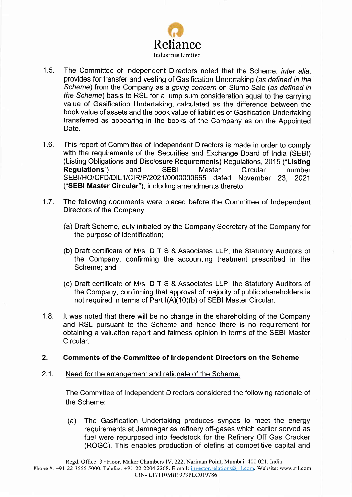

- 1.5. The Committee of Independent Directors noted that the Scheme, *inter alia*, provides for transfer and vesting of Gasification Undertaking (as defined in the Scheme) from the Company as a going concern on Slump Sale (as defined in the Scheme) basis to RSL for a lump sum consideration equal to the carrying value of Gasification Undertaking, calculated as the difference between the book value of assets and the book value of liabilities of Gasification Undertaking transferred as appearing in the books of the Company as on the Appointed Date.
- 1.6. This report of Committee of Independent Directors is made in order to comply with the requirements of the Securities and Exchange Board of India (SEBI) (Listing Obligations and Disclosure Requirements) Regulations,2015 ("Listing Regulations") and SEBI Master Circular number SEBI/HO/CFD/DIL1/CIR/P/2021/0000000665 dated November 23, 2021 ('SEBI Master Gircular"), including amendments thereto.
- 1.7. The following documents were placed before the Committee of lndependent Directors of the Company:
	- (a) Draft Scheme, duly initialed by the Company Secretary of the Company for the purpose of identification;
	- (b) Draft certificate of M/s. D T S & Associates LLP, the Statutory Auditors of the Company, confirming the accounting treatment prescribed in the Scheme; and
	- (c) Draft certificate of M/s. D T S & Associates LLP, the Statutory Auditors of the Company, confirming that approval of majority of public shareholders is not required in terms of Part  $I(A)(10)(b)$  of SEBI Master Circular.
- 1.8. lt was noted that there will be no change in the shareholding of the Company and RSL pursuant to the Scheme and hence there is no requirement for obtaining a valuation report and fairness opinion in terms of the SEBI Master Circular.

## 2. Comments of the Gommittee of Independent Directors on the Scheme

2.1. Need for the arrangement and rationale of the Scheme:

The Committee of Independent Directors considered the following rationale of the Scheme:

(a) The Gasification Undertaking produces syngas to meel the energy requirements at Jamnagar as refinery off-gases which earlier served as fuel were repurposed into feedstock for the Refinery Off Gas Cracker (ROGC). This enables production of olefins at competitive capital and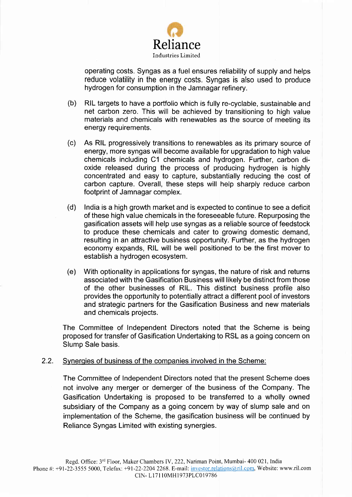

operating costs. Syngas as a fuel ensures reliability of supply and helps reduce volatility in the energy costs. Syngas is also used to produce hydrogen for consumption in the Jamnagar refinery.

- (b) RIL targets to have a portfolio which is fully re-cyclable, sustainable and net carbon zero. This will be achieved by transitioning to high value materials and chemicals with renewables as the source of meeting its energy requirements.
- (c) As RIL progressively transitions to renewables as its primary source of energy, more syngas will become available for upgradation to high value chemicals including C1 chemicals and hydrogen. Further, carbon dioxide released during the process of producing hydrogen is highly concentrated and easy to capture, substantially reducing the cost of carbon capture. Overall, these steps will help sharply reduce carbon footprint of Jamnagar complex.
- (d) India is a high growth market and is expected to continue to see a deficit of these high value chemicals in the foreseeable future. Repurposing the gasification assets will help use syngas as a reliable source of feedstock to produce these chemicals and cater to growing domestic demand, resulting in an attractive business opportunity. Further, as the hydrogen economy expands, RIL will be well positioned to be the first mover to establish a hydrogen ecosystem.
- (e) With optionality in applications for syngas, the nature of risk and returns associated with the Gasification Business will likely be distinct from those of the other businesses of RlL. This distinct business profile also provides the opportunity to potentially attract a different pool of investors and strategic partners for the Gasification Business and new materials and chemicals projects.

The Committee of Independent Directors noted that the Scheme is being proposed for transfer of Gasification Undertaking to RSL as a going concern on Slump Sale basis.

## 2.2. Svneroies of business of the companies involved in the Scheme:

The Committee of Independent Directors noted that the present Scheme does not involve any merger or demerger of the business of the Company. The Gasification Undertaking is proposed to be transferred to a wholly owned subsidiary of the Company as a going concern by way of slump sale and on implementation of the Scheme, the gasification business will be continued by Reliance Syngas Limited with existing synergies.